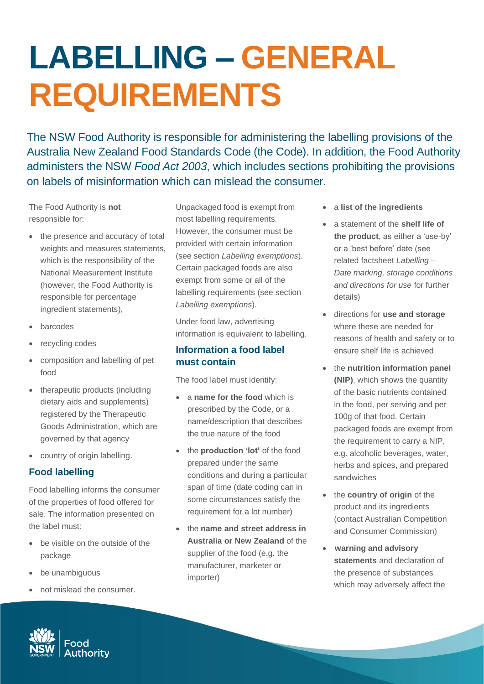# **LABELLING – GENERAL REQUIREMENTS**

The NSW Food Authority is responsible for administering the labelling provisions of the Australia New Zealand Food Standards Code (the Code). In addition, the Food Authority administers the NSW *Food Act 2003*, which includes sections prohibiting the provisions on labels of misinformation which can mislead the consumer.

The Food Authority is **not** responsible for:

- the presence and accuracy of total weights and measures statements, which is the responsibility of the National Measurement Institute (however, the Food Authority is responsible for percentage ingredient statements),
- barcodes
- recycling codes
- composition and labelling of pet food
- therapeutic products (including dietary aids and supplements) registered by the Therapeutic Goods Administration, which are governed by that agency
- country of origin labelling.

### **Food labelling**

Food labelling informs the consumer of the properties of food offered for sale. The information presented on the label must:

- be visible on the outside of the package
- be unambiguous
- not mislead the consumer.

Unpackaged food is exempt from most labelling requirements. However, the consumer must be provided with certain information (see section *Labelling exemptions*). Certain packaged foods are also exempt from some or all of the labelling requirements (see section *Labelling exemptions*).

Under food law, advertising information is equivalent to labelling.

#### **Information a food label must contain**

The food label must identify:

- a **name for the food** which is prescribed by the Code, or a name/description that describes the true nature of the food
- the **production 'lot'** of the food prepared under the same conditions and during a particular span of time (date coding can in some circumstances satisfy the requirement for a lot number)
- the **name and street address in Australia or New Zealand** of the supplier of the food (e.g. the manufacturer, marketer or importer)
- a **list of the ingredients**
- a statement of the **shelf life of the product**, as either a 'use-by' or a 'best before' date (see related factsheet *Labelling – Date marking, storage conditions and directions for use* for further details)
- directions for **use and storage** where these are needed for reasons of health and safety or to ensure shelf life is achieved
- the **nutrition information panel (NIP)**, which shows the quantity of the basic nutrients contained in the food, per serving and per 100g of that food. Certain packaged foods are exempt from the requirement to carry a NIP, e.g. alcoholic beverages, water, herbs and spices, and prepared sandwiches
- the **country of origin** of the product and its ingredients (contact Australian Competition and Consumer Commission)
- **warning and advisory statements** and declaration of the presence of substances which may adversely affect the

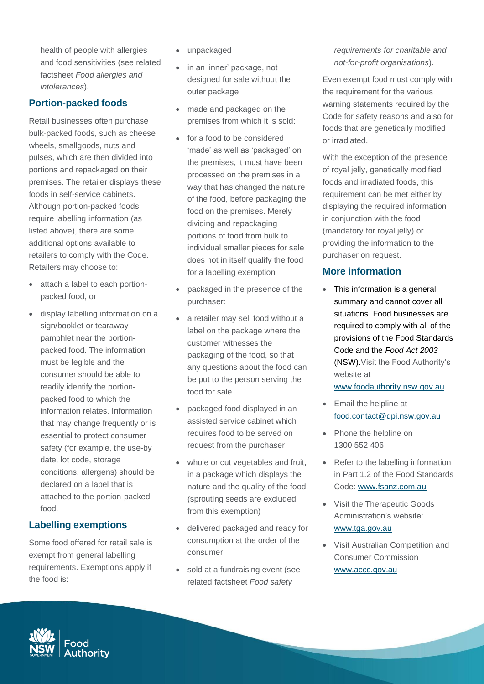health of people with allergies and food sensitivities (see related factsheet *Food allergies and intolerances*).

## **Portion-packed foods**

Retail businesses often purchase bulk-packed foods, such as cheese wheels, smallgoods, nuts and pulses, which are then divided into portions and repackaged on their premises. The retailer displays these foods in self-service cabinets. Although portion-packed foods require labelling information (as listed above), there are some additional options available to retailers to comply with the Code. Retailers may choose to:

- attach a label to each portionpacked food, or
- display labelling information on a sign/booklet or tearaway pamphlet near the portionpacked food. The information must be legible and the consumer should be able to readily identify the portionpacked food to which the information relates. Information that may change frequently or is essential to protect consumer safety (for example, the use-by date, lot code, storage conditions, allergens) should be declared on a label that is attached to the portion-packed food.

### **Labelling exemptions**

Some food offered for retail sale is exempt from general labelling requirements. Exemptions apply if the food is:

- unpackaged
- in an 'inner' package, not designed for sale without the outer package
- made and packaged on the premises from which it is sold:
- for a food to be considered 'made' as well as 'packaged' on the premises, it must have been processed on the premises in a way that has changed the nature of the food, before packaging the food on the premises. Merely dividing and repackaging portions of food from bulk to individual smaller pieces for sale does not in itself qualify the food for a labelling exemption
- packaged in the presence of the purchaser:
- a retailer may sell food without a label on the package where the customer witnesses the packaging of the food, so that any questions about the food can be put to the person serving the food for sale
- packaged food displayed in an assisted service cabinet which requires food to be served on request from the purchaser
- whole or cut vegetables and fruit, in a package which displays the nature and the quality of the food (sprouting seeds are excluded from this exemption)
- delivered packaged and ready for consumption at the order of the consumer
- sold at a fundraising event (see related factsheet *Food safety*

*requirements for charitable and not-for-profit organisations*).

Even exempt food must comply with the requirement for the various warning statements required by the Code for safety reasons and also for foods that are genetically modified or irradiated.

With the exception of the presence of royal jelly, genetically modified foods and irradiated foods, this requirement can be met either by displaying the required information in conjunction with the food (mandatory for royal jelly) or providing the information to the purchaser on request.

#### **More information**

• This information is a general summary and cannot cover all situations. Food businesses are required to comply with all of the provisions of the Food Standards Code and the *Food Act 2003* (NSW).Visit the Food Authority's website at

[www.foodauthority.nsw.gov.au](http://www.foodauthority.nsw.gov.au/)

- Email the helpline at [food.contact@dpi.nsw.gov.au](file://///safefood.lan/FILESERVER/CIE/Local%20Government%20Unit/FACTSHEETS/2020%20REVIEW%20PROJECT/food.contact@dpi.nsw.gov.au)
- Phone the helpline on 1300 552 406
- Refer to the labelling information in Part 1.2 of the Food Standards Code: [www.fsanz.com.au](http://www.fsanz.com.au/)
- Visit the Therapeutic Goods Administration's website: [www.tga.gov.au](http://www.tga.gov.au/)
- Visit Australian Competition and Consumer Commission [www.accc.gov.au](http://www.accc.gov.au/)